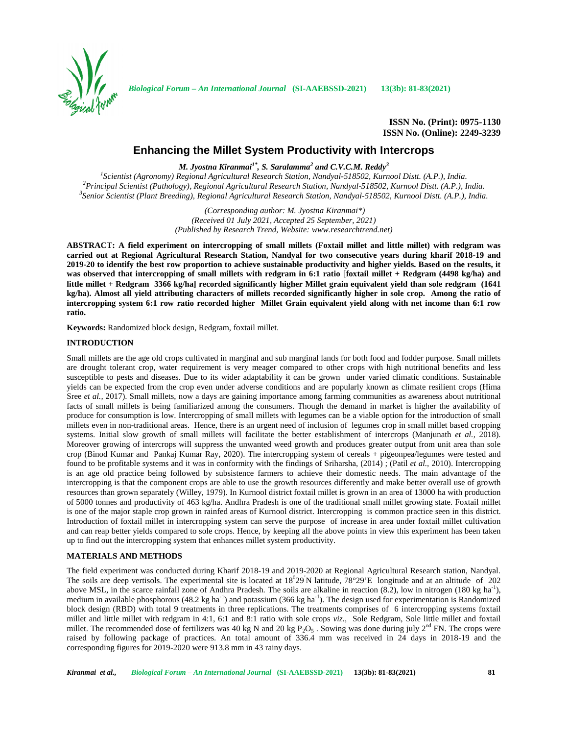

*Biological Forum – An International Journal* **(SI-AAEBSSD-2021) 13(3b): 81-83(2021)**

# **Enhancing the Millet System Productivity with Intercrops**

*M. Jyostna Kiranmai1\* , S. Saralamma<sup>2</sup> and C.V.C.M. Reddy<sup>3</sup>*

<sup>1</sup>Scientist (Agronomy) Regional Agricultural Research Station, Nandyal-518502, Kurnool Distt. (A.P.), India.<br><sup>2</sup>Principal Scientist (Pathology), Regional Agricultural Research Station, Nandyal-518502, Kurnool Distt. (A.P.

*(Corresponding author: M. Jyostna Kiranmai\*) (Received 01 July 2021, Accepted 25 September, 2021) (Published by Research Trend, Website: <www.researchtrend.net>)*

**ABSTRACT: A field experiment on intercropping of small millets (Foxtail millet and little millet) with redgram was carried out at Regional Agricultural Research Station, Nandyal for two consecutive years during kharif 2018-19 and 2019-20 to identify the best row proportion to achieve sustainable productivity and higher yields. Based on the results, it was observed that intercropping of small millets with redgram in 6:1 ratio** [**foxtail millet + Redgram (4498 kg/ha) and little millet + Redgram 3366 kg/ha] recorded significantly higher Millet grain equivalent yield than sole redgram (1641 kg/ha). Almost all yield attributing characters of millets recorded significantly higher in sole crop. Among the ratio of intercropping system 6:1 row ratio recorded higher Millet Grain equivalent yield along with net income than 6:1 row ratio.**

**Keywords:** Randomized block design, Redgram, foxtail millet.

## **INTRODUCTION**

Small millets are the age old crops cultivated in marginal and sub marginal lands for both food and fodder purpose. Small millets are drought tolerant crop, water requirement is very meager compared to other crops with high nutritional benefits and less susceptible to pests and diseases. Due to its wider adaptability it can be grown under varied climatic conditions. Sustainable yields can be expected from the crop even under adverse conditions and are popularly known as climate resilient crops (Hima Sree *et al.*, 2017). Small millets, now a days are gaining importance among farming communities as awareness about nutritional facts of small millets is being familiarized among the consumers. Though the demand in market is higher the availability of produce for consumption is low. Intercropping of small millets with legumes can be a viable option for the introduction of small millets even in non-traditional areas. Hence, there is an urgent need of inclusion of legumes crop in small millet based cropping systems. Initial slow growth of small millets will facilitate the better establishment of intercrops (Manjunath *et al.,* 2018). Moreover growing of intercrops will suppress the unwanted weed growth and produces greater output from unit area than sole crop (Binod Kumar and Pankaj Kumar Ray, 2020). The intercropping system of cereals + pigeonpea/legumes were tested and found to be profitable systems and it was in conformity with the findings of Sriharsha, (2014) ; (Patil *et al.,* 2010). Intercropping is an age old practice being followed by subsistence farmers to achieve their domestic needs. The main advantage of the intercropping is that the component crops are able to use the growth resources differently and make better overall use of growth resources than grown separately (Willey, 1979). In Kurnool district foxtail millet is grown in an area of 13000 ha with production of 5000 tonnes and productivity of 463 kg/ha. Andhra Pradesh is one of the traditional small millet growing state. Foxtail millet is one of the major staple crop grown in rainfed areas of Kurnool district. Intercropping is common practice seen in this district. Introduction of foxtail millet in intercropping system can serve the purpose of increase in area under foxtail millet cultivation and can reap better yields compared to sole crops. Hence, by keeping all the above points in view this experiment has been taken up to find out the intercropping system that enhances millet system productivity.

## **MATERIALS AND METHODS**

The field experiment was conducted during Kharif 2018-19 and 2019-2020 at Regional Agricultural Research station, Nandyal. The soils are deep vertisols. The experimental site is located at  $18^029'N$  latitude,  $78^\circ29'E$  longitude and at an altitude of 202 above MSL, in the scarce rainfall zone of Andhra Pradesh. The soils are alkaline in reaction  $(8.2)$ , low in nitrogen  $(180 \text{ kg ha}^{-1})$ , medium in available phosphorous (48.2 kg ha<sup>-1</sup>) and potassium (366 kg ha<sup>-1</sup>). The design used for experimentation is Randomized block design (RBD) with total 9 treatments in three replications. The treatments comprises of 6 intercropping systems foxtail millet and little millet with redgram in 4:1, 6:1 and 8:1 ratio with sole crops *viz.,* Sole Redgram, Sole little millet and foxtail millet. The recommended dose of fertilizers was 40 kg N and 20 kg  $P_2O_5$ . Sowing was done during july  $2^{nd}$  FN. The crops were raised by following package of practices. An total amount of 336.4 mm was received in 24 days in 2018-19 and the corresponding figures for 2019-2020 were 913.8 mm in 43 rainy days.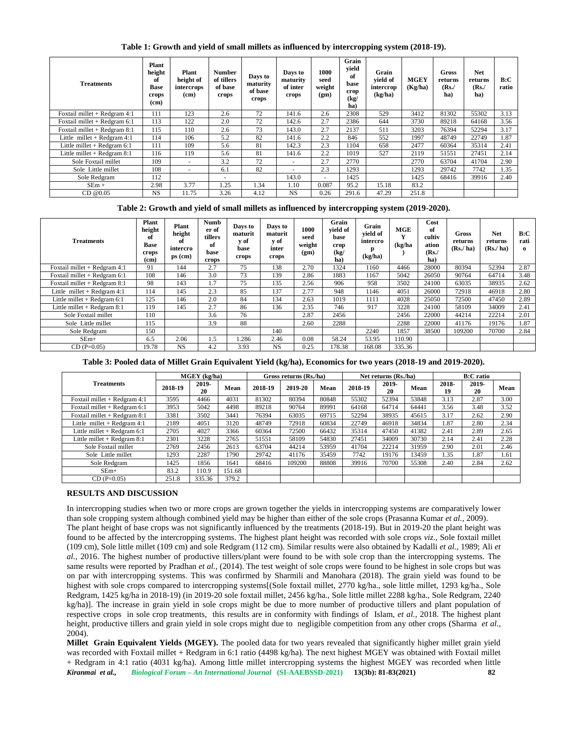## **Table 1: Growth and yield of small millets as influenced by intercropping system (2018-19).**

| <b>Treatments</b>              | Plant<br>height<br>of<br><b>Base</b><br>crops<br>(c <sub>m</sub> ) | Plant<br>height of<br>intercrops<br>(cm) | Number<br>of tillers<br>of base<br>crops | Days to<br>maturity<br>of base<br>crops | Days to<br>maturity<br>of inter<br>crops | 1000<br>seed<br>weight<br>(gm) | Grain<br>vield<br>of<br>base<br>crop<br>(kg)<br>ha) | Grain<br>vield of<br>intercrop<br>(kg/ha) | <b>MGEY</b><br>(Kg/ha) | <b>Gross</b><br>returns<br>$(Rs$ ./<br>ha) | <b>Net</b><br>returns<br>(Rs)<br>ha) | B:C<br>ratio |
|--------------------------------|--------------------------------------------------------------------|------------------------------------------|------------------------------------------|-----------------------------------------|------------------------------------------|--------------------------------|-----------------------------------------------------|-------------------------------------------|------------------------|--------------------------------------------|--------------------------------------|--------------|
| Foxtail millet + Redgram 4:1   | 111                                                                | 123                                      | 2.6                                      | 72                                      | 141.6                                    | 2.6                            | 2308                                                | 529                                       | 3412                   | 81302                                      | 55302                                | 3.13         |
| Foxtail millet $+$ Redgram 6:1 | 113                                                                | 122                                      | 2.0                                      | 72                                      | 142.6                                    | 2.7                            | 2386                                                | 644                                       | 3730                   | 89218                                      | 64168                                | 3.56         |
| Foxtail millet $+$ Redgram 8:1 | 115                                                                | 110                                      | 2.6                                      | 73                                      | 143.0                                    | 2.7                            | 2137                                                | 511                                       | 3203                   | 76394                                      | 52294                                | 3.17         |
| Little millet $+$ Redgram 4:1  | 114                                                                | 106                                      | 5.2                                      | 82                                      | 141.6                                    | 2.2                            | 846                                                 | 552                                       | 1997                   | 48749                                      | 22749                                | 1.87         |
| Little millet $+$ Redgram 6:1  | 111                                                                | 109                                      | 5.6                                      | 81                                      | 142.3                                    | 2.3                            | 1104                                                | 658                                       | 2477                   | 60364                                      | 35314                                | 2.41         |
| Little millet $+$ Redgram 8:1  | 116                                                                | 119                                      | 5.6                                      | 81                                      | 141.6                                    | 2.2                            | 1019                                                | 527                                       | 2119                   | 51551                                      | 27451                                | 2.14         |
| Sole Foxtail millet            | 109                                                                | $\overline{a}$                           | 3.2                                      | 72                                      | $\overline{\phantom{a}}$                 | 2.7                            | 2770                                                |                                           | 2770                   | 63704                                      | 41704                                | 2.90         |
| Sole Little millet             | 108                                                                | $\overline{\phantom{a}}$                 | 6.1                                      | 82                                      |                                          | 2.3                            | 1293                                                |                                           | 1293                   | 29742                                      | 7742                                 | 1.35         |
| Sole Redgram                   | 112                                                                |                                          | $\overline{\phantom{a}}$                 |                                         | 143.0                                    | $\overline{\phantom{a}}$       | 1425                                                |                                           | 1425                   | 68416                                      | 39916                                | 2.40         |
| $SEm +$                        | 2.98                                                               | 3.77                                     | 1.25                                     | 1.34                                    | 1.10                                     | 0.087                          | 95.2                                                | 15.18                                     | 83.2                   |                                            |                                      |              |
| $CD$ @0.05                     | <b>NS</b>                                                          | 11.75                                    | 3.26                                     | 4.12                                    | <b>NS</b>                                | 0.26                           | 291.6                                               | 47.29                                     | 251.8                  |                                            |                                      |              |

### **Table 2: Growth and yield of small millets as influenced by intercropping system (2019-2020).**

| <b>Treatments</b>              | Plant<br>height<br>оf<br><b>Base</b><br>crops<br>(c <sub>m</sub> ) | Plant<br>height<br>of<br>intercro<br>$ps$ (cm) | <b>Numb</b><br>er of<br>tillers<br>of<br>base<br>crops | Days to<br>maturit<br>v of<br>base<br>crops | Days to<br>maturit<br>y of<br>inter<br>crops | 1000<br>seed<br>weight<br>(gm) | Grain<br>vield of<br>base<br>crop<br>(kg)<br>ha) | Grain<br>vield of<br>intercro<br>р<br>(kg/ha) | <b>MGE</b><br>(kg/ha) | Cost<br>of<br>cultiv<br>ation<br>(Rs<br>ha) | Gross<br>returns<br>(Rs/ha) | Net.<br>returns<br>(Rs/ha) | B:C<br>rati<br>$\bf{o}$ |
|--------------------------------|--------------------------------------------------------------------|------------------------------------------------|--------------------------------------------------------|---------------------------------------------|----------------------------------------------|--------------------------------|--------------------------------------------------|-----------------------------------------------|-----------------------|---------------------------------------------|-----------------------------|----------------------------|-------------------------|
| Foxtail millet + Redgram 4:1   | 91                                                                 | 144                                            | 2.7                                                    | 75                                          | 138                                          | 2.70                           | 1324                                             | 1160                                          | 4466                  | 28000                                       | 80394                       | 52394                      | 2.87                    |
| Foxtail millet $+$ Redgram 6:1 | 108                                                                | 146                                            | 3.0                                                    | 73                                          | 139                                          | 2.86                           | 1883                                             | 1167                                          | 5042                  | 26050                                       | 90764                       | 64714                      | 3.48                    |
| Foxtail millet + Redgram 8:1   | 98                                                                 | 143                                            | 1.7                                                    | 75                                          | 135                                          | 2.56                           | 906                                              | 958                                           | 3502                  | 24100                                       | 63035                       | 38935                      | 2.62                    |
| Little millet $+$ Redgram 4:1  | 114                                                                | 145                                            | 2.3                                                    | 85                                          | 137                                          | 2.77                           | 948                                              | 1146                                          | 4051                  | 26000                                       | 72918                       | 46918                      | 2.80                    |
| Little millet $+$ Redgram 6:1  | 125                                                                | 146                                            | 2.0                                                    | 84                                          | 134                                          | 2.63                           | 1019                                             | 1111                                          | 4028                  | 25050                                       | 72500                       | 47450                      | 2.89                    |
| Little millet $+$ Redgram 8:1  | 119                                                                | 145                                            | 2.7                                                    | 86                                          | 136                                          | 2.35                           | 746                                              | 917                                           | 3228                  | 24100                                       | 58109                       | 34009                      | 2.41                    |
| Sole Foxtail millet            | 110                                                                |                                                | 3.6                                                    | 76                                          |                                              | 2.87                           | 2456                                             |                                               | 2456                  | 22000                                       | 44214                       | 22214                      | 2.01                    |
| Sole Little millet             | 115                                                                |                                                | 3.9                                                    | 88                                          |                                              | 2.60                           | 2288                                             |                                               | 2288                  | 22000                                       | 41176                       | 19176                      | 1.87                    |
| Sole Redgram                   | 150                                                                |                                                |                                                        |                                             | 140                                          |                                |                                                  | 2240                                          | 1857                  | 38500                                       | 109200                      | 70700                      | 2.84                    |
| $SEm+$                         | 6.5                                                                | 2.06                                           | 1.5                                                    | 1.286                                       | 2.46                                         | 0.08                           | 58.24                                            | 53.95                                         | 110.90                |                                             |                             |                            |                         |
| $CD(P=0.05)$                   | 19.78                                                              | <b>NS</b>                                      | 4.2                                                    | 3.93                                        | <b>NS</b>                                    | 0.25                           | 178.38                                           | 168.08                                        | 335.36                |                                             |                             |                            |                         |

**Table 3: Pooled data of Millet Grain Equivalent Yield (kg/ha), Economics for two years (2018-19 and 2019-2020).**

|                               | $MGEY$ (kg/ha) |             |        | Gross returns (Rs./ha) |         |       | Net returns (Rs./ha) |             |       | <b>B:C</b> ratio |             |      |
|-------------------------------|----------------|-------------|--------|------------------------|---------|-------|----------------------|-------------|-------|------------------|-------------|------|
| <b>Treatments</b>             | 2018-19        | 2019-<br>20 | Mean   | 2018-19                | 2019-20 | Mean  | 2018-19              | 2019-<br>20 | Mean  | 2018-<br>19      | 2019-<br>20 | Mean |
| Foxtail millet + Redgram 4:1  | 3595           | 4466        | 4031   | 81302                  | 80394   | 80848 | 55302                | 52394       | 53848 | 3.13             | 2.87        | 3.00 |
| Foxtail millet + Redgram 6:1  | 3953           | 5042        | 4498   | 89218                  | 90764   | 89991 | 64168                | 64714       | 64441 | 3.56             | 3.48        | 3.52 |
| Foxtail millet + Redgram 8:1  | 3381           | 3502        | 3441   | 76394                  | 63035   | 69715 | 52294                | 38935       | 45615 | 3.17             | 2.62        | 2.90 |
| Little millet $+$ Redgram 4:1 | 2189           | 4051        | 3120   | 48749                  | 72918   | 60834 | 22749                | 46918       | 34834 | 1.87             | 2.80        | 2.34 |
| Little millet $+$ Redgram 6:1 | 2705           | 4027        | 3366   | 60364                  | 72500   | 66432 | 35314                | 47450       | 41382 | 2.41             | 2.89        | 2.65 |
| Little millet $+$ Redgram 8:1 | 2301           | 3228        | 2765   | 51551                  | 58109   | 54830 | 27451                | 34009       | 30730 | 2.14             | 2.41        | 2.28 |
| Sole Foxtail millet           | 2769           | 2456        | 2613   | 63704                  | 44214   | 53959 | 41704                | 22214       | 31959 | 2.90             | 2.01        | 2.46 |
| Sole Little millet            | 1293           | 2287        | 1790   | 29742                  | 41176   | 35459 | 7742                 | 19176       | 13459 | 1.35             | 1.87        | 1.61 |
| Sole Redgram                  | 1425           | 1856        | 1641   | 68416                  | 109200  | 88808 | 39916                | 70700       | 55308 | 2.40             | 2.84        | 2.62 |
| $SEm+$                        | 83.2           | 110.9       | 151.68 |                        |         |       |                      |             |       |                  |             |      |
| $CD(P=0.05)$                  | 251.8          | 335.36      | 379.2  |                        |         |       |                      |             |       |                  |             |      |

## **RESULTS AND DISCUSSION**

In intercropping studies when two or more crops are grown together the yields in intercropping systems are comparatively lower than sole cropping system although combined yield may be higher than either of the sole crops (Prasanna Kumar *et al.,* 2009). The plant height of base crops was not significantly influenced by the treatments (2018-19). But in 2019-20 the plant height was found to be affected by the intercropping systems. The highest plant height was recorded with sole crops *viz.,* Sole foxtail millet (109 cm), Sole little millet (109 cm) and sole Redgram (112 cm). Similar results were also obtained by Kadalli *et al.,* 1989; Ali *et al.,* 2016. The highest number of productive tillers/plant were found to be with sole crop than the intercropping systems. The same results were reported by Pradhan *et al.,* (2014). The test weight of sole crops were found to be highest in sole crops but was on par with intercropping systems. This was confirmed by Sharmili and Manohara (2018). The grain yield was found to be highest with sole crops compared to intercropping systems[(Sole foxtail millet, 2770 kg/ha., sole little millet, 1293 kg/ha., Sole Redgram, 1425 kg/ha in 2018-19) (in 2019-20 sole foxtail millet, 2456 kg/ha., Sole little millet 2288 kg/ha., Sole Redgram, 2240 kg/ha)]. The increase in grain yield in sole crops might be due to more number of productive tillers and plant population of respective crops in sole crop treatments, this results are in conformity with findings of Islam, *et al.,* 2018. The highest plant height, productive tillers and grain yield in sole crops might due to negligible competition from any other crops (Sharma *et al.,* 2004).

*Kiranmai et al., Biological Forum – An International Journal* **(SI-AAEBSSD-2021) 13(3b): 81-83(2021) 82 Millet Grain Equivalent Yields (MGEY).** The pooled data for two years revealed that significantly higher millet grain yield was recorded with Foxtail millet + Redgram in 6:1 ratio (4498 kg/ha). The next highest MGEY was obtained with Foxtail millet + Redgram in 4:1 ratio (4031 kg/ha). Among little millet intercropping systems the highest MGEY was recorded when little